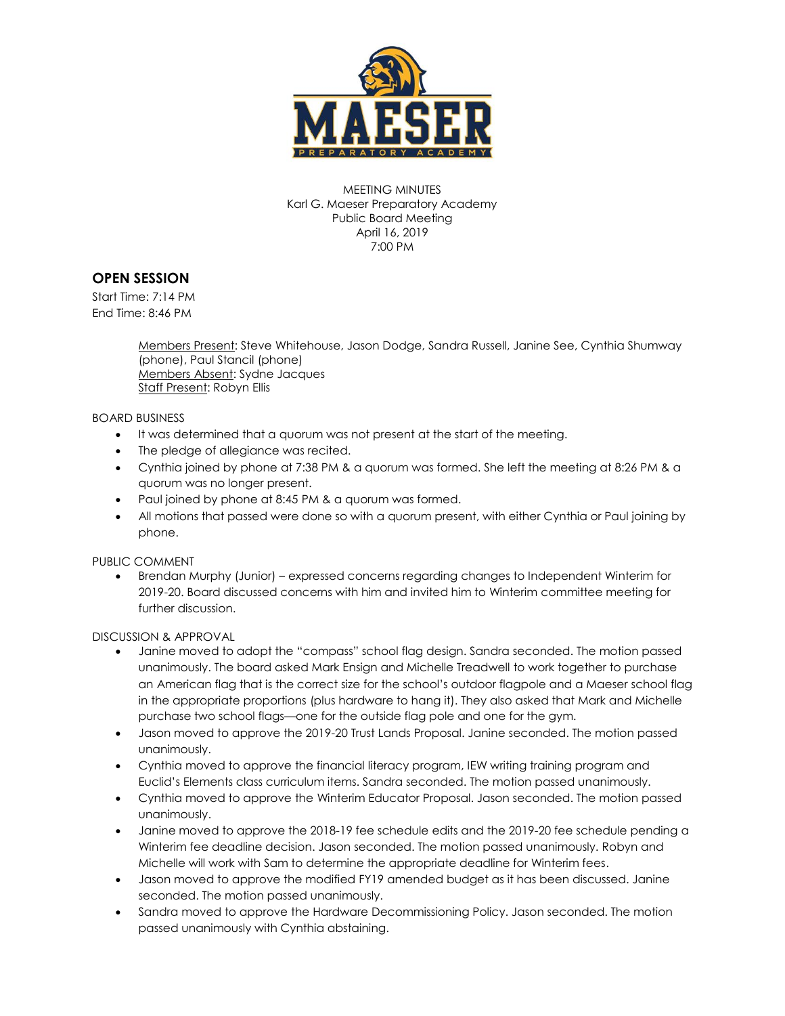

MEETING MINUTES Karl G. Maeser Preparatory Academy Public Board Meeting April 16, 2019 7:00 PM

## **OPEN SESSION**

Start Time: 7:14 PM End Time: 8:46 PM

> Members Present: Steve Whitehouse, Jason Dodge, Sandra Russell, Janine See, Cynthia Shumway (phone), Paul Stancil (phone) Members Absent: Sydne Jacques Staff Present: Robyn Ellis

BOARD BUSINESS

- It was determined that a quorum was not present at the start of the meeting.
- The pledge of allegiance was recited.
- Cynthia joined by phone at 7:38 PM & a quorum was formed. She left the meeting at 8:26 PM & a quorum was no longer present.
- Paul joined by phone at 8:45 PM & a quorum was formed.
- All motions that passed were done so with a quorum present, with either Cynthia or Paul joining by phone.

PUBLIC COMMENT

 Brendan Murphy (Junior) – expressed concerns regarding changes to Independent Winterim for 2019-20. Board discussed concerns with him and invited him to Winterim committee meeting for further discussion.

DISCUSSION & APPROVAL

- Janine moved to adopt the "compass" school flag design. Sandra seconded. The motion passed unanimously. The board asked Mark Ensign and Michelle Treadwell to work together to purchase an American flag that is the correct size for the school's outdoor flagpole and a Maeser school flag in the appropriate proportions (plus hardware to hang it). They also asked that Mark and Michelle purchase two school flags—one for the outside flag pole and one for the gym.
- Jason moved to approve the 2019-20 Trust Lands Proposal. Janine seconded. The motion passed unanimously.
- Cynthia moved to approve the financial literacy program, IEW writing training program and Euclid's Elements class curriculum items. Sandra seconded. The motion passed unanimously.
- Cynthia moved to approve the Winterim Educator Proposal. Jason seconded. The motion passed unanimously.
- Janine moved to approve the 2018-19 fee schedule edits and the 2019-20 fee schedule pending a Winterim fee deadline decision. Jason seconded. The motion passed unanimously. Robyn and Michelle will work with Sam to determine the appropriate deadline for Winterim fees.
- Jason moved to approve the modified FY19 amended budget as it has been discussed. Janine seconded. The motion passed unanimously.
- Sandra moved to approve the Hardware Decommissioning Policy. Jason seconded. The motion passed unanimously with Cynthia abstaining.